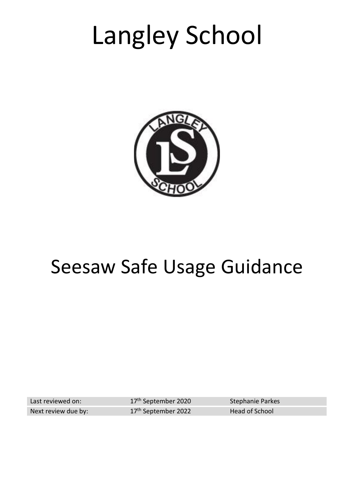# Langley School



## Seesaw Safe Usage Guidance

Last reviewed on: Next review due by: 17<sup>th</sup> September 2020 Stephanie Parkes 17<sup>th</sup> September 2022 Head of School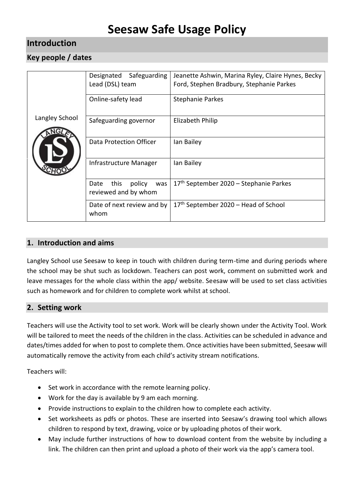## **Seesaw Safe Usage Policy**

#### **Introduction**

#### **Key people / dates**

| Langley School | Safeguarding<br>Designated<br>Lead (DSL) team         | Jeanette Ashwin, Marina Ryley, Claire Hynes, Becky<br>Ford, Stephen Bradbury, Stephanie Parkes |
|----------------|-------------------------------------------------------|------------------------------------------------------------------------------------------------|
|                | Online-safety lead                                    | <b>Stephanie Parkes</b>                                                                        |
|                | Safeguarding governor                                 | Elizabeth Philip                                                                               |
|                | Data Protection Officer                               | lan Bailey                                                                                     |
|                | Infrastructure Manager                                | Ian Bailey                                                                                     |
|                | this<br>policy<br>Date<br>was<br>reviewed and by whom | 17th September 2020 - Stephanie Parkes                                                         |
|                | Date of next review and by<br>whom                    | 17 <sup>th</sup> September 2020 – Head of School                                               |

#### **1. Introduction and aims**

Langley School use Seesaw to keep in touch with children during term-time and during periods where the school may be shut such as lockdown. Teachers can post work, comment on submitted work and leave messages for the whole class within the app/ website. Seesaw will be used to set class activities such as homework and for children to complete work whilst at school.

#### **2. Setting work**

Teachers will use the Activity tool to set work. Work will be clearly shown under the Activity Tool. Work will be tailored to meet the needs of the children in the class. Activities can be scheduled in advance and dates/times added for when to post to complete them. Once activities have been submitted, Seesaw will automatically remove the activity from each child's activity stream notifications.

Teachers will:

- Set work in accordance with the remote learning policy.
- Work for the day is available by 9 am each morning.
- Provide instructions to explain to the children how to complete each activity.
- Set worksheets as pdfs or photos. These are inserted into Seesaw's drawing tool which allows children to respond by text, drawing, voice or by uploading photos of their work.
- May include further instructions of how to download content from the website by including a link. The children can then print and upload a photo of their work via the app's camera tool.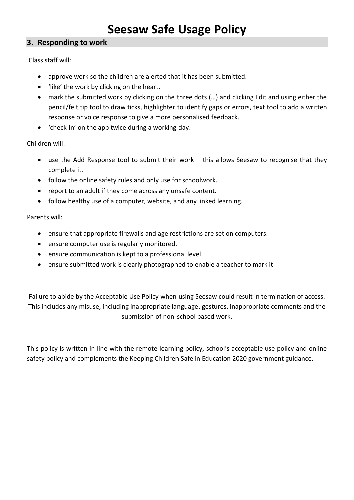## **Seesaw Safe Usage Policy**

#### **3. Responding to work**

Class staff will:

- approve work so the children are alerted that it has been submitted.
- 'like' the work by clicking on the heart.
- mark the submitted work by clicking on the three dots (…) and clicking Edit and using either the pencil/felt tip tool to draw ticks, highlighter to identify gaps or errors, text tool to add a written response or voice response to give a more personalised feedback.
- 'check-in' on the app twice during a working day.

Children will:

- use the Add Response tool to submit their work this allows Seesaw to recognise that they complete it.
- follow the online safety rules and only use for schoolwork.
- report to an adult if they come across any unsafe content.
- follow healthy use of a computer, website, and any linked learning.

Parents will:

- ensure that appropriate firewalls and age restrictions are set on computers.
- ensure computer use is regularly monitored.
- ensure communication is kept to a professional level.
- ensure submitted work is clearly photographed to enable a teacher to mark it

Failure to abide by the Acceptable Use Policy when using Seesaw could result in termination of access. This includes any misuse, including inappropriate language, gestures, inappropriate comments and the submission of non-school based work.

This policy is written in line with the remote learning policy, school's acceptable use policy and online safety policy and complements the Keeping Children Safe in Education 2020 government guidance.